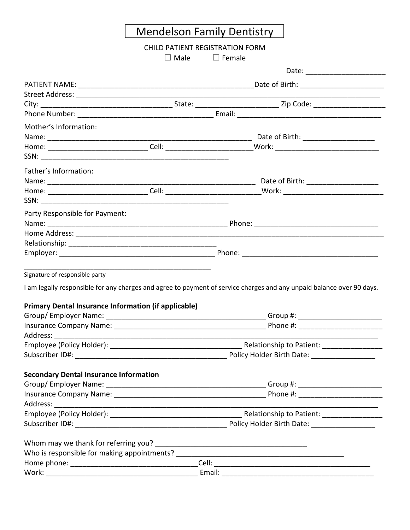## Mendelson Family Dentistry

## CHILD PATIENT REGISTRATION FORM

☐ Male ☐ Female

| Mother's Information:                                       |                                                                            |                                                                                                                       |  |  |
|-------------------------------------------------------------|----------------------------------------------------------------------------|-----------------------------------------------------------------------------------------------------------------------|--|--|
|                                                             |                                                                            |                                                                                                                       |  |  |
|                                                             |                                                                            |                                                                                                                       |  |  |
|                                                             |                                                                            |                                                                                                                       |  |  |
| Father's Information:                                       |                                                                            |                                                                                                                       |  |  |
|                                                             |                                                                            |                                                                                                                       |  |  |
|                                                             |                                                                            |                                                                                                                       |  |  |
|                                                             |                                                                            |                                                                                                                       |  |  |
| Party Responsible for Payment:                              |                                                                            |                                                                                                                       |  |  |
|                                                             |                                                                            |                                                                                                                       |  |  |
|                                                             |                                                                            |                                                                                                                       |  |  |
|                                                             |                                                                            |                                                                                                                       |  |  |
|                                                             |                                                                            |                                                                                                                       |  |  |
|                                                             | the control of the control of the control of the control of the control of |                                                                                                                       |  |  |
| Signature of responsible party                              |                                                                            |                                                                                                                       |  |  |
|                                                             |                                                                            | I am legally responsible for any charges and agree to payment of service charges and any unpaid balance over 90 days. |  |  |
| <b>Primary Dental Insurance Information (if applicable)</b> |                                                                            |                                                                                                                       |  |  |
|                                                             |                                                                            |                                                                                                                       |  |  |
|                                                             |                                                                            |                                                                                                                       |  |  |
|                                                             |                                                                            |                                                                                                                       |  |  |
|                                                             |                                                                            |                                                                                                                       |  |  |
|                                                             |                                                                            |                                                                                                                       |  |  |
|                                                             |                                                                            |                                                                                                                       |  |  |
| <b>Secondary Dental Insurance Information</b>               |                                                                            |                                                                                                                       |  |  |
|                                                             |                                                                            |                                                                                                                       |  |  |
|                                                             |                                                                            |                                                                                                                       |  |  |
|                                                             |                                                                            |                                                                                                                       |  |  |
|                                                             |                                                                            |                                                                                                                       |  |  |
|                                                             |                                                                            |                                                                                                                       |  |  |
| Whom may we thank for referring you?                        |                                                                            |                                                                                                                       |  |  |
|                                                             |                                                                            |                                                                                                                       |  |  |
|                                                             |                                                                            |                                                                                                                       |  |  |
|                                                             |                                                                            |                                                                                                                       |  |  |
|                                                             |                                                                            |                                                                                                                       |  |  |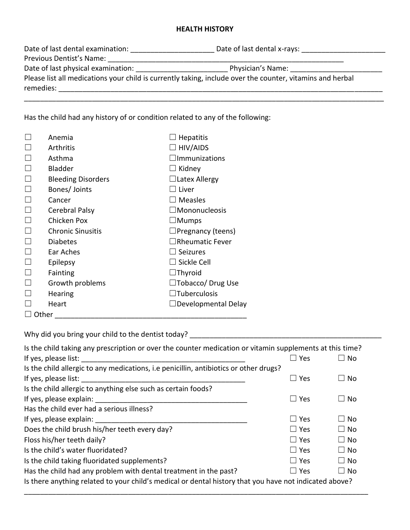## **HEALTH HISTORY**

| Date of last dental examination:   | Date of last dental x-rays:                                                                               |
|------------------------------------|-----------------------------------------------------------------------------------------------------------|
| Previous Dentist's Name:           |                                                                                                           |
| Date of last physical examination: | Physician's Name:                                                                                         |
| remedies:                          | Please list all medications your child is currently taking, include over the counter, vitamins and herbal |
|                                    |                                                                                                           |

Has the child had any history of or condition related to any of the following:

|       | Anemia                    | $\Box$ Hepatitis           |
|-------|---------------------------|----------------------------|
|       | Arthritis                 | $\Box$ HIV/AIDS            |
|       |                           |                            |
|       | Asthma                    | $\square$ Immunizations    |
|       | <b>Bladder</b>            | $\Box$ Kidney              |
|       | <b>Bleeding Disorders</b> | $\Box$ Latex Allergy       |
|       | Bones/ Joints             | $\Box$ Liver               |
|       | Cancer                    | $\square$ Measles          |
|       | Cerebral Palsy            | $\Box$ Mononucleosis       |
|       | Chicken Pox               | $\square$ Mumps            |
|       | <b>Chronic Sinusitis</b>  | $\Box$ Pregnancy (teens)   |
|       | <b>Diabetes</b>           | $\Box$ Rheumatic Fever     |
|       | Ear Aches                 | $\Box$ Seizures            |
|       | Epilepsy                  | $\Box$ Sickle Cell         |
|       | Fainting                  | $\Box$ Thyroid             |
|       | Growth problems           | $\Box$ Tobacco/ Drug Use   |
|       | <b>Hearing</b>            | $\Box$ Tuberculosis        |
|       | Heart                     | $\Box$ Developmental Delay |
| Other |                           |                            |

Why did you bring your child to the dentist today? \_\_\_\_\_\_\_\_\_\_\_\_\_\_\_\_\_\_\_\_\_\_\_\_\_\_\_\_\_\_\_\_\_\_\_\_\_\_\_\_\_\_\_\_\_\_\_\_

| Is the child taking any prescription or over the counter medication or vitamin supplements at this time? |               |              |  |  |
|----------------------------------------------------------------------------------------------------------|---------------|--------------|--|--|
| If yes, please list:                                                                                     | $\square$ Yes | No           |  |  |
| Is the child allergic to any medications, i.e penicillin, antibiotics or other drugs?                    |               |              |  |  |
| If yes, please list:                                                                                     | $\Box$ Yes    | <b>No</b>    |  |  |
| Is the child allergic to anything else such as certain foods?                                            |               |              |  |  |
| If yes, please explain:                                                                                  | $\Box$ Yes    | No           |  |  |
| Has the child ever had a serious illness?                                                                |               |              |  |  |
| If yes, please explain:                                                                                  | $\square$ Yes | $\Box$ No    |  |  |
| Does the child brush his/her teeth every day?                                                            | $\Box$ Yes    | $\Box$ No    |  |  |
| Floss his/her teeth daily?                                                                               | $\square$ Yes | $\Box$ No    |  |  |
| Is the child's water fluoridated?                                                                        | $\Box$ Yes    | $\square$ No |  |  |
| Is the child taking fluoridated supplements?                                                             | $\Box$ Yes    | $\Box$ No    |  |  |
| Has the child had any problem with dental treatment in the past?                                         | $\Box$ Yes    | $\Box$ No    |  |  |
| Is there anything related to your child's medical or dental history that you have not indicated above?   |               |              |  |  |

\_\_\_\_\_\_\_\_\_\_\_\_\_\_\_\_\_\_\_\_\_\_\_\_\_\_\_\_\_\_\_\_\_\_\_\_\_\_\_\_\_\_\_\_\_\_\_\_\_\_\_\_\_\_\_\_\_\_\_\_\_\_\_\_\_\_\_\_\_\_\_\_\_\_\_\_\_\_\_\_\_\_\_\_\_\_